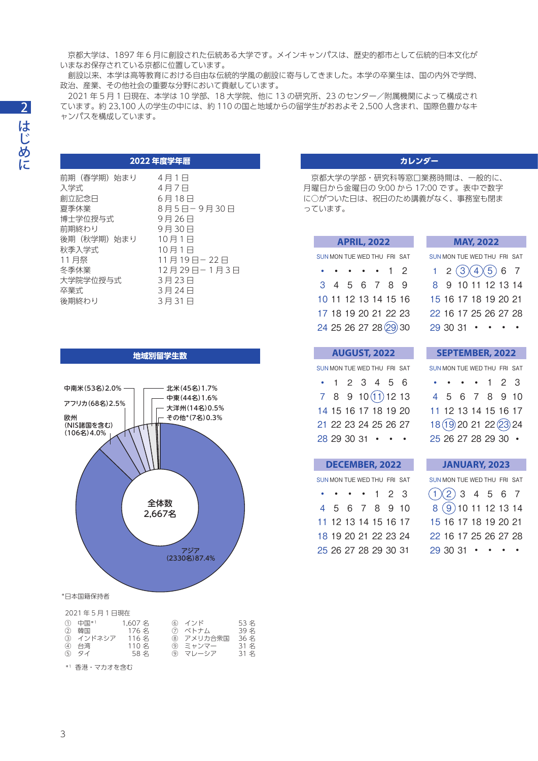京都大学は、1897 年 6 月に創設された伝統ある大学です。メインキャンパスは、歴史的都市として伝統的日本文化が いまなお保存されている京都に位置しています。

 創設以来、本学は高等教育における自由な伝統的学風の創設に寄与してきました。本学の卒業生は、国の内外で学問、 政治、産業、その他社会の重要な分野において貢献しています。

 2021 年 5 月 1 日現在、本学は 10 学部、18 大学院、他に 13 の研究所、23 のセンター/附属機関によって構成され ています。約 23,100 人の学生の中には、約 110 の国と地域からの留学生がおおよそ2,500 人含まれ、国際色豊かなキ ャンパスを構成しています。

### **2022 年度学年暦**

| 前期(春学期)始まり | 4月1日        |
|------------|-------------|
| 入学式        | 4月7日        |
| 創立記念日      | 6月18日       |
| 夏季休業       | 8月5日-9月30日  |
| 博士学位授与式    | 9月26日       |
| 前期終わり      | 9月30日       |
| 後期(秋学期)始まり | 10月1日       |
| 秋季入学式      | 10月1日       |
| 11 月祭      | 11月19日-22日  |
| 冬季休業       | 12月29日-1月3日 |
| 大学院学位授与式   | 3月23日       |
| 卒業式        | 3月24日       |
| 後期終わり      | 3月31日       |
|            |             |

# **地域別留学生数** 全体数 2,667名 アジア (2330名)87.4% 中南米(53名) 2.0% –– –– 北米(45名) 1.7% アフリカ(68名)2.5% 欧州 (NIS諸国を含む) (106名)4.0% その他\*(7名)0.3% 大洋州(14名)0.5% 中東(44名)1.6%

#### \*日本国籍保持者

| 2021年5月1日現在                                  |                                           |                                                    |                                   |
|----------------------------------------------|-------------------------------------------|----------------------------------------------------|-----------------------------------|
| ① 中国*1<br>② 韓国<br>(3) インドネシア<br>④ 台湾<br>⑤ タイ | 1.607 名<br>176名<br>116名<br>110名<br>- 58 名 | ⑥ インド<br>⑦ ベトナム<br>8 アメリカ合衆国<br>⑨ ミャンマー<br>⑨ マレーシア | 53名<br>39名<br>36名<br>31 名<br>31 名 |
|                                              |                                           |                                                    |                                   |

\*1 香港・マカオを含む

### **カレンダー**

 京都大学の学部・研究科等窓口業務時間は、一般的に、 月曜日から金曜日の 9:00 から 17:00 です。表中で数字 に○がついた日は、祝日のため講義がなく、事務室も閉ま っています。

| <b>APRIL, 2022</b>          |  |  |  |                      |  |  |  |  |  |  |
|-----------------------------|--|--|--|----------------------|--|--|--|--|--|--|
| SUN MON TUE WED THU FRI SAT |  |  |  |                      |  |  |  |  |  |  |
|                             |  |  |  | . 12                 |  |  |  |  |  |  |
|                             |  |  |  | 3 4 5 6 7 8 9        |  |  |  |  |  |  |
|                             |  |  |  | 10 11 12 13 14 15 16 |  |  |  |  |  |  |
|                             |  |  |  | 17 18 19 20 21 22 23 |  |  |  |  |  |  |
|                             |  |  |  | 24 25 26 27 28 29 30 |  |  |  |  |  |  |

| <b>AUGUST, 2022</b> |  |  |  |                             |  |  |  |  |  |  |  |
|---------------------|--|--|--|-----------------------------|--|--|--|--|--|--|--|
|                     |  |  |  | SUN MON TUE WED THU FRI SAT |  |  |  |  |  |  |  |
|                     |  |  |  | $\cdot$ 1 2 3 4 5 6         |  |  |  |  |  |  |  |
|                     |  |  |  | 78910(1)1213                |  |  |  |  |  |  |  |
|                     |  |  |  | 14 15 16 17 18 19 20        |  |  |  |  |  |  |  |
|                     |  |  |  |                             |  |  |  |  |  |  |  |

|  | SUN MON TUE WED THU FRI SAT |  |  |
|--|-----------------------------|--|--|
|  | $\cdots$ $\cdots$ 1 2 3     |  |  |
|  | 4 5 6 7 8 9 10              |  |  |
|  | 11 12 13 14 15 16 17        |  |  |
|  | 18 19 20 21 22 23 24        |  |  |
|  | 25 26 27 28 29 30 31        |  |  |

|  |  | SUN MON TUE WED THU FRI SAT                 |  |
|--|--|---------------------------------------------|--|
|  |  | $1 \quad 2 \quad (3)(4)(5) \quad 6 \quad 7$ |  |
|  |  | 8 9 10 11 12 13 14                          |  |
|  |  | 15 16 17 18 19 20 21                        |  |
|  |  | 22 16 17 25 26 27 28                        |  |
|  |  | $293031 \cdot \cdot \cdot \cdot$            |  |
|  |  |                                             |  |

**MAY, 2022**

### **SEPTEMBER, 2022**

|  |  | SUN MON TUE WED THU FRI SAT |  |
|--|--|-----------------------------|--|
|  |  | $\cdots$ $\cdots$ 1 2 3     |  |
|  |  | 4 5 6 7 8 9 10              |  |
|  |  | 11 12 13 14 15 16 17        |  |
|  |  | 18 (19) 20 21 22 23 24      |  |
|  |  | 25 26 27 28 29 30 ·         |  |
|  |  |                             |  |

## **JANUARY, 2023**

| SUN MON TUE WED THU FRI SAT      |  |  |  |
|----------------------------------|--|--|--|
| $(1)(2)$ 3 4 5 6 7               |  |  |  |
| $8\overline{)9}1011121314$       |  |  |  |
| 15 16 17 18 19 20 21             |  |  |  |
| 22 16 17 25 26 27 28             |  |  |  |
| $293031 \cdot \cdot \cdot \cdot$ |  |  |  |

|  |  | 21 22 23 24 25 26 27             |           |
|--|--|----------------------------------|-----------|
|  |  | $28\,29\,30\,31$ $\cdot$ $\cdot$ | $\bullet$ |
|  |  |                                  |           |
|  |  | <b>DECEMBER, 2022</b>            |           |
|  |  | SUN MON TUE WED THU FRI SAT      |           |
|  |  | $\cdots$ 123                     |           |
|  |  | 4 5 6 7 8 9 10                   |           |
|  |  | 11 12 13 14 15 16 17             |           |
|  |  |                                  |           |